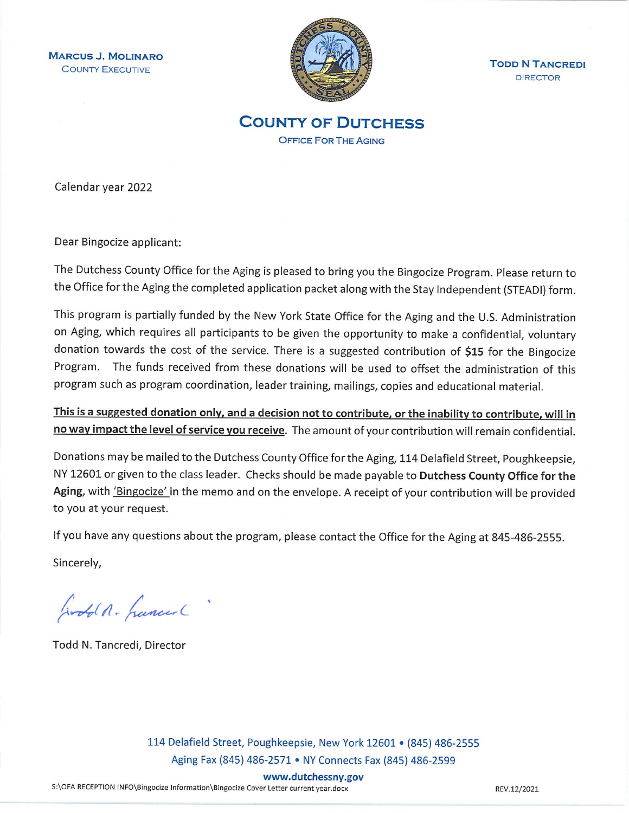**MARCUS J. MOLINARO COUNTY EXECUTIVE** 



**TODD N TANCREDI DIRECTOR** 

**COUNTY OF DUTCHESS OFFICE FOR THE AGING** 

Calendar year 2022

Dear Bingocize applicant:

The Dutchess County Office for the Aging is pleased to bring you the Bingocize Program. Please return to the Office for the Aging the completed application packet along with the Stay Independent (STEADI) form.

This program is partially funded by the New York State Office for the Aging and the U.S. Administration on Aging, which requires all participants to be given the opportunity to make a confidential, voluntary donation towards the cost of the service. There is a suggested contribution of \$15 for the Bingocize Program. The funds received from these donations will be used to offset the administration of this program such as program coordination, leader training, mailings, copies and educational material.

This is a suggested donation only, and a decision not to contribute, or the inability to contribute, will in no way impact the level of service you receive. The amount of your contribution will remain confidential.

Donations may be mailed to the Dutchess County Office for the Aging, 114 Delafield Street, Poughkeepsie, NY 12601 or given to the class leader. Checks should be made payable to Dutchess County Office for the Aging, with 'Bingocize' in the memo and on the envelope. A receipt of your contribution will be provided to you at your request.

If you have any questions about the program, please contact the Office for the Aging at 845-486-2555.

Sincerely,

Godd A. Luncer

Todd N. Tancredi, Director

114 Delafield Street, Poughkeepsie, New York 12601 • (845) 486-2555 Aging Fax (845) 486-2571 • NY Connects Fax (845) 486-2599

www.dutchessny.gov

S:\OFA RECEPTION INFO\Bingocize Information\Bingocize Cover Letter current year.docx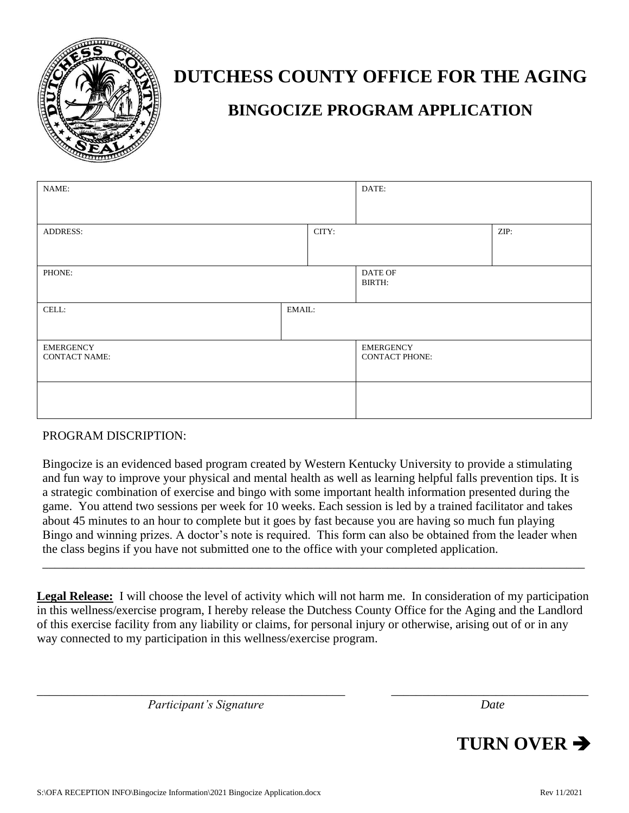

# **DUTCHESS COUNTY OFFICE FOR THE AGING**

## **BINGOCIZE PROGRAM APPLICATION**

| NAME:                                    |        | DATE:                                     |  |      |
|------------------------------------------|--------|-------------------------------------------|--|------|
| <b>ADDRESS:</b>                          |        | CITY:                                     |  | ZIP: |
| PHONE:                                   |        | DATE OF<br>BIRTH:                         |  |      |
| CELL:                                    | EMAIL: |                                           |  |      |
| <b>EMERGENCY</b><br><b>CONTACT NAME:</b> |        | <b>EMERGENCY</b><br><b>CONTACT PHONE:</b> |  |      |
|                                          |        |                                           |  |      |

#### PROGRAM DISCRIPTION:

Bingocize is an evidenced based program created by Western Kentucky University to provide a stimulating and fun way to improve your physical and mental health as well as learning helpful falls prevention tips. It is a strategic combination of exercise and bingo with some important health information presented during the game. You attend two sessions per week for 10 weeks. Each session is led by a trained facilitator and takes about 45 minutes to an hour to complete but it goes by fast because you are having so much fun playing Bingo and winning prizes. A doctor's note is required. This form can also be obtained from the leader when the class begins if you have not submitted one to the office with your completed application.

**Legal Release:** I will choose the level of activity which will not harm me. In consideration of my participation in this wellness/exercise program, I hereby release the Dutchess County Office for the Aging and the Landlord of this exercise facility from any liability or claims, for personal injury or otherwise, arising out of or in any way connected to my participation in this wellness/exercise program.

\_\_\_\_\_\_\_\_\_\_\_\_\_\_\_\_\_\_\_\_\_\_\_\_\_\_\_\_\_\_\_\_\_\_\_\_\_\_\_\_\_\_\_\_\_\_\_\_\_\_ \_\_\_\_\_\_\_\_\_\_\_\_\_\_\_\_\_\_\_\_\_\_\_\_\_\_\_\_\_\_\_\_

\_\_\_\_\_\_\_\_\_\_\_\_\_\_\_\_\_\_\_\_\_\_\_\_\_\_\_\_\_\_\_\_\_\_\_\_\_\_\_\_\_\_\_\_\_\_\_\_\_\_\_\_\_\_\_\_\_\_\_\_\_\_\_\_\_\_\_\_\_\_\_\_\_\_\_\_\_\_\_\_\_\_\_\_\_\_\_\_

*Participant's Signature Date*

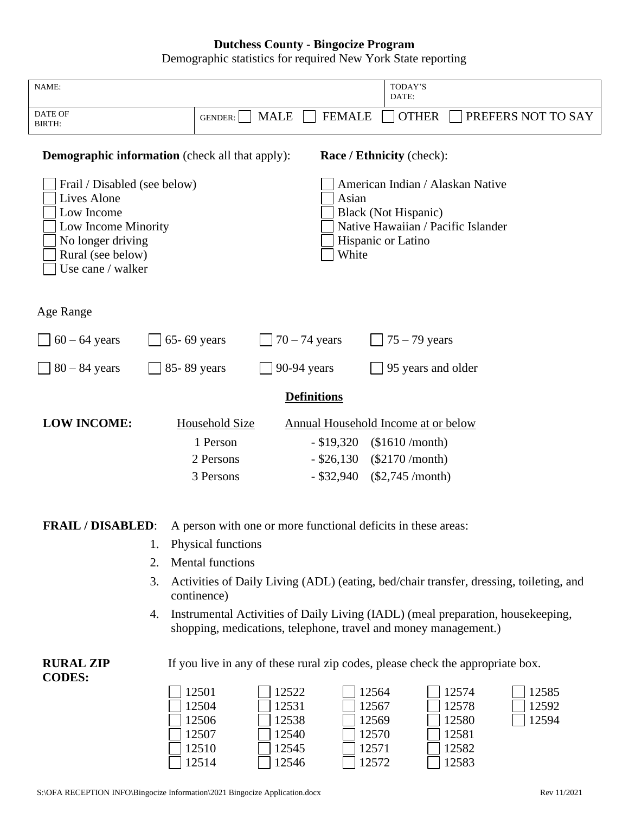#### **Dutchess County - Bingocize Program**

Demographic statistics for required New York State reporting

| NAME:                                                                                                                                                  |                                                                                                                                                    |                                           |                | TODAY'S                                                                                                              |                                           |                                                                                        |
|--------------------------------------------------------------------------------------------------------------------------------------------------------|----------------------------------------------------------------------------------------------------------------------------------------------------|-------------------------------------------|----------------|----------------------------------------------------------------------------------------------------------------------|-------------------------------------------|----------------------------------------------------------------------------------------|
|                                                                                                                                                        |                                                                                                                                                    |                                           |                | DATE:                                                                                                                |                                           |                                                                                        |
| DATE OF<br>BIRTH:                                                                                                                                      | <b>GENDER:</b>                                                                                                                                     | <b>MALE</b>                               | <b>FEMALE</b>  | <b>OTHER</b>                                                                                                         |                                           | PREFERS NOT TO SAY                                                                     |
| <b>Demographic information</b> (check all that apply):                                                                                                 |                                                                                                                                                    |                                           |                | <b>Race / Ethnicity (check):</b>                                                                                     |                                           |                                                                                        |
| Frail / Disabled (see below)<br><b>Lives Alone</b><br>Low Income<br>Low Income Minority<br>No longer driving<br>Rural (see below)<br>Use cane / walker |                                                                                                                                                    |                                           | Asian<br>White | American Indian / Alaskan Native<br>Black (Not Hispanic)<br>Native Hawaiian / Pacific Islander<br>Hispanic or Latino |                                           |                                                                                        |
| Age Range                                                                                                                                              |                                                                                                                                                    |                                           |                |                                                                                                                      |                                           |                                                                                        |
| $60 - 64$ years                                                                                                                                        | 65-69 years                                                                                                                                        | $70 - 74$ years                           |                | $75 - 79$ years                                                                                                      |                                           |                                                                                        |
| $80 - 84$ years                                                                                                                                        | 85-89 years                                                                                                                                        | 90-94 years                               |                |                                                                                                                      | 95 years and older                        |                                                                                        |
| <b>Definitions</b>                                                                                                                                     |                                                                                                                                                    |                                           |                |                                                                                                                      |                                           |                                                                                        |
| <b>LOW INCOME:</b>                                                                                                                                     | Household Size                                                                                                                                     |                                           |                | Annual Household Income at or below                                                                                  |                                           |                                                                                        |
|                                                                                                                                                        | 1 Person                                                                                                                                           |                                           | $-$ \$19,320   | $(\$1610/month)$                                                                                                     |                                           |                                                                                        |
|                                                                                                                                                        | 2 Persons                                                                                                                                          |                                           | $-$ \$26,130   | $(\$2170/month)$                                                                                                     |                                           |                                                                                        |
|                                                                                                                                                        | 3 Persons                                                                                                                                          |                                           | $-$ \$32,940   | $(\$2,745/month)$                                                                                                    |                                           |                                                                                        |
| <b>FRAIL / DISABLED:</b>                                                                                                                               | A person with one or more functional deficits in these areas:                                                                                      |                                           |                |                                                                                                                      |                                           |                                                                                        |
| 1.                                                                                                                                                     | Physical functions                                                                                                                                 |                                           |                |                                                                                                                      |                                           |                                                                                        |
| 2.                                                                                                                                                     | <b>Mental functions</b>                                                                                                                            |                                           |                |                                                                                                                      |                                           |                                                                                        |
| 3.                                                                                                                                                     | continence)                                                                                                                                        |                                           |                |                                                                                                                      |                                           | Activities of Daily Living (ADL) (eating, bed/chair transfer, dressing, toileting, and |
| 4.                                                                                                                                                     | Instrumental Activities of Daily Living (IADL) (meal preparation, housekeeping,<br>shopping, medications, telephone, travel and money management.) |                                           |                |                                                                                                                      |                                           |                                                                                        |
| <b>RURAL ZIP</b><br><b>CODES:</b>                                                                                                                      | If you live in any of these rural zip codes, please check the appropriate box.                                                                     |                                           |                |                                                                                                                      |                                           |                                                                                        |
|                                                                                                                                                        | 12501<br>12504<br>12506<br>12507<br>12510                                                                                                          | 12522<br>12531<br>12538<br>12540<br>12545 |                | 12564<br>12567<br>12569<br>12570<br>12571                                                                            | 12574<br>12578<br>12580<br>12581<br>12582 | 12585<br>12592<br>12594                                                                |

12514

12546

12572

12583